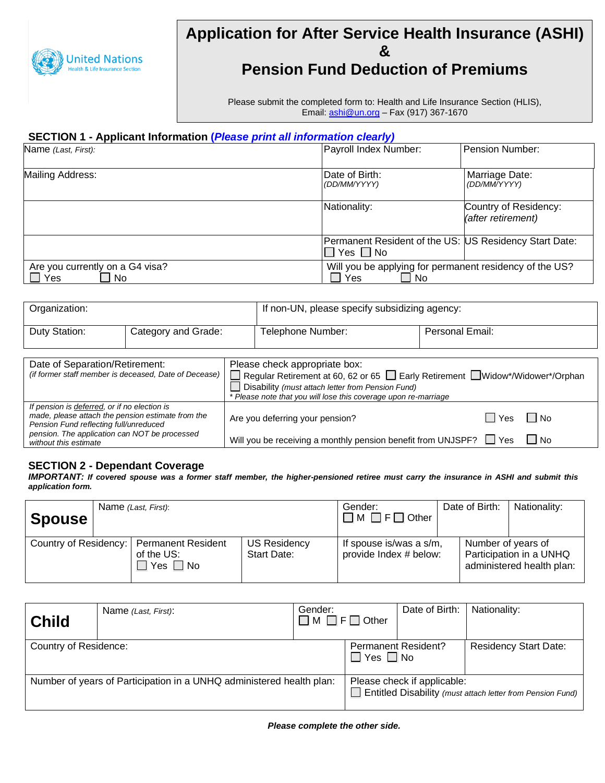

# **Application for After Service Health Insurance (ASHI) & Pension Fund Deduction of Premiums**

Please submit the completed form to: Health and Life Insurance Section (HLIS), Email: [ashi@un.org](mailto:ids@un.org) – Fax (917) 367-1670

## **SECTION 1 - Applicant Information (***Please print all information clearly)*

| Name (Last, First):                             | Payroll Index Number:                                                                | Pension Number:                             |
|-------------------------------------------------|--------------------------------------------------------------------------------------|---------------------------------------------|
| Mailing Address:                                | Date of Birth:<br>(DD/MM/YYYY)                                                       | Marriage Date:<br>(DD/MM/YYYY)              |
|                                                 | Nationality:                                                                         | Country of Residency:<br>(after retirement) |
|                                                 | Permanent Resident of the US: US Residency Start Date:<br>$\square$ Yes $\square$ No |                                             |
| Are you currently on a G4 visa?<br>  Yes<br>No. | Will you be applying for permanent residency of the US?<br>Yes<br>l No               |                                             |

| Organization:                  |                     | If non-UN, please specify subsidizing agency: |                 |  |
|--------------------------------|---------------------|-----------------------------------------------|-----------------|--|
| Duty Station:                  | Category and Grade: | Telephone Number:                             | Personal Email: |  |
|                                |                     |                                               |                 |  |
| Date of Separation/Retirement: |                     | Please check appropriate box:                 |                 |  |

| <u>Date of Ocparation retirement.</u>                 | <b>Ease crieck appropriate box.</b>                                               |         |       |  |  |
|-------------------------------------------------------|-----------------------------------------------------------------------------------|---------|-------|--|--|
| (if former staff member is deceased, Date of Decease) | Regular Retirement at 60, 62 or 65 D Early Retirement DWidow*/Widower*/Orphan     |         |       |  |  |
|                                                       | Disability (must attach letter from Pension Fund)                                 |         |       |  |  |
|                                                       | Please note that you will lose this coverage upon re-marriage                     |         |       |  |  |
| If pension is deferred, or if no election is          |                                                                                   |         |       |  |  |
| made, please attach the pension estimate from the     | Are you deferring your pension?                                                   | l I Yes | l INo |  |  |
| Pension Fund reflecting full/unreduced                |                                                                                   |         |       |  |  |
| pension. The application can NOT be processed         | Will you be receiving a monthly pension benefit from UNJSPF? $\Box$ Yes $\Box$ No |         |       |  |  |
| without this estimate                                 |                                                                                   |         |       |  |  |

## **SECTION 2 - Dependant Coverage**

*IMPORTANT: If covered spouse was a former staff member, the higher-pensioned retiree must carry the insurance in ASHI and submit this application form.*

| <b>Spouse</b>         | Name (Last, First): |                                                                 |                                    | Gender:<br>$\Box$ M $\Box$ F $\Box$ Other         | Date of Birth:     | Nationality:                                         |
|-----------------------|---------------------|-----------------------------------------------------------------|------------------------------------|---------------------------------------------------|--------------------|------------------------------------------------------|
| Country of Residency: |                     | <b>Permanent Resident</b><br>of the US:<br>$\Box$ Yes $\Box$ No | <b>US Residency</b><br>Start Date: | If spouse is/was a s/m,<br>provide Index # below: | Number of years of | Participation in a UNHQ<br>administered health plan: |

| <b>Child</b>                                                         | Name (Last, First): | Gender:<br>$\Box$ M $\Box$ F $\Box$ Other |  | Date of Birth:                                                                     | Nationality:                                                      |  |
|----------------------------------------------------------------------|---------------------|-------------------------------------------|--|------------------------------------------------------------------------------------|-------------------------------------------------------------------|--|
| Country of Residence:                                                |                     |                                           |  | <b>Permanent Resident?</b><br><b>Residency Start Date:</b><br>$\Box$ Yes $\Box$ No |                                                                   |  |
| Number of years of Participation in a UNHQ administered health plan: |                     |                                           |  | Please check if applicable:                                                        | $\Box$ Entitled Disability (must attach letter from Pension Fund) |  |